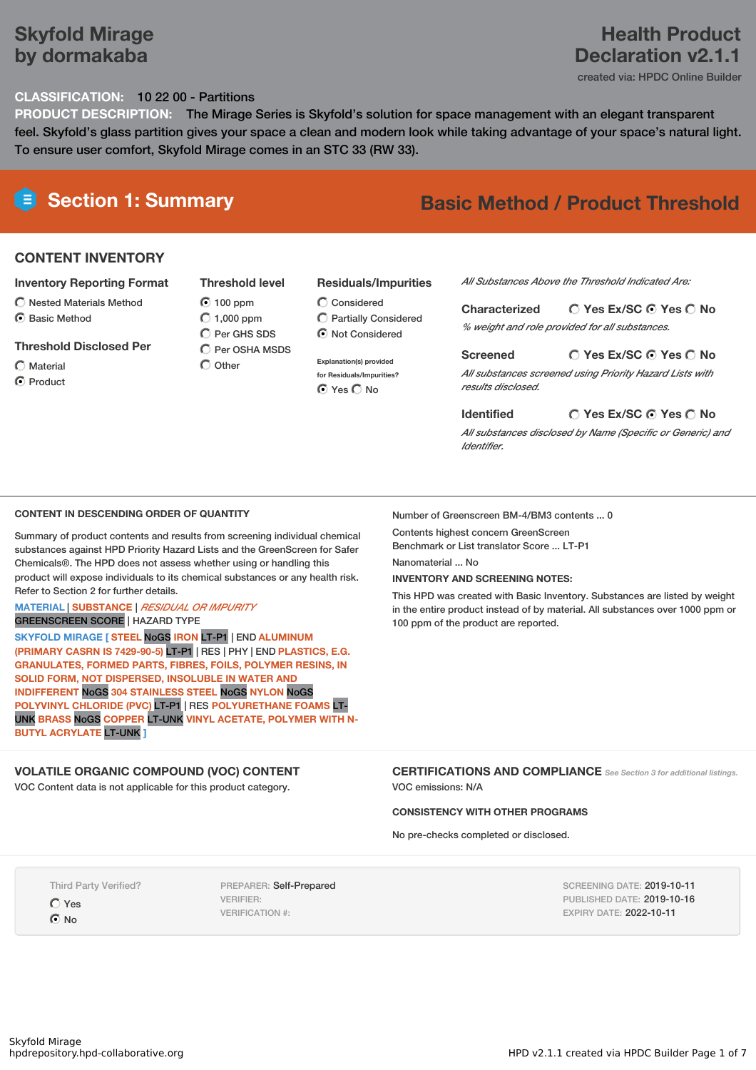### **Skyfold Mirage by dormakaba**

### **Health Product Declaration v2.1.1**

created via: HPDC Online Builder

#### **CLASSIFICATION:** 10 22 00 - Partitions

**PRODUCT DESCRIPTION:** The Mirage Series is Skyfold's solution for space management with an elegant transparent feel. Skyfold's glass partition gives your space a clean and modern look while taking advantage of your space's natural light. To ensure user comfort, Skyfold Mirage comes in an STC 33 (RW 33).

## **Section 1: Summary Basic Method / Product Threshold**

#### **CONTENT INVENTORY**

#### **Inventory Reporting Format**

- $\bigcirc$  Nested Materials Method
- C Rasic Method

#### **Threshold Disclosed Per**

Material **O** Product **Threshold level**  $\odot$  100 ppm  $O$  1,000 ppm C Per GHS SDS  $\overline{C}$  Per OSHA MSDS  $\bigcap$  Other

- **Residuals/Impurities**
- Considered Partially Considered  $\bigcirc$  Not Considered

**Explanation(s) provided for Residuals/Impurities? O** Yes O No

*All Substances Above the Threshold Indicated Are:*

**Yes Ex/SC Yes No Characterized** *% weight and role provided for all substances.*

#### **Screened**

*All substances screened using Priority Hazard Lists with results disclosed.*

**Yes Ex/SC Yes No**

#### **Yes Ex/SC Yes No Identified**

*All substances disclosed by Name (Specific or Generic) and Identifier.*

#### **CONTENT IN DESCENDING ORDER OF QUANTITY**

Summary of product contents and results from screening individual chemical substances against HPD Priority Hazard Lists and the GreenScreen for Safer Chemicals®. The HPD does not assess whether using or handling this product will expose individuals to its chemical substances or any health risk. Refer to Section 2 for further details.

### **MATERIAL** | **SUBSTANCE** | *RESIDUAL OR IMPURITY*

GREENSCREEN SCORE | HAZARD TYPE

**SKYFOLD MIRAGE [ STEEL** NoGS **IRON** LT-P1 | END **ALUMINUM (PRIMARY CASRN IS 7429-90-5)** LT-P1 | RES | PHY | END **PLASTICS, E.G. GRANULATES, FORMED PARTS, FIBRES, FOILS, POLYMER RESINS, IN SOLID FORM, NOT DISPERSED, INSOLUBLE IN WATER AND INDIFFERENT** NoGS **304 STAINLESS STEEL** NoGS **NYLON** NoGS **POLYVINYL CHLORIDE (PVC)** LT-P1 | RES **POLYURETHANE FOAMS** LT-UNK **BRASS** NoGS **COPPER** LT-UNK **VINYL ACETATE, POLYMER WITH N-BUTYL ACRYLATE** LT-UNK **]**

#### **VOLATILE ORGANIC COMPOUND (VOC) CONTENT**

VOC Content data is not applicable for this product category.

Number of Greenscreen BM-4/BM3 contents ... 0

Contents highest concern GreenScreen Benchmark or List translator Score ... LT-P1

Nanomaterial ... No

#### **INVENTORY AND SCREENING NOTES:**

This HPD was created with Basic Inventory. Substances are listed by weight in the entire product instead of by material. All substances over 1000 ppm or 100 ppm of the product are reported.

**CERTIFICATIONS AND COMPLIANCE** *See Section <sup>3</sup> for additional listings.* VOC emissions: N/A

#### **CONSISTENCY WITH OTHER PROGRAMS**

No pre-checks completed or disclosed.

Third Party Verified? Yes

 $\odot$  No

PREPARER: Self-Prepared VERIFIER: VERIFICATION #:

SCREENING DATE: 2019-10-11 PUBLISHED DATE: 2019-10-16 EXPIRY DATE: 2022-10-11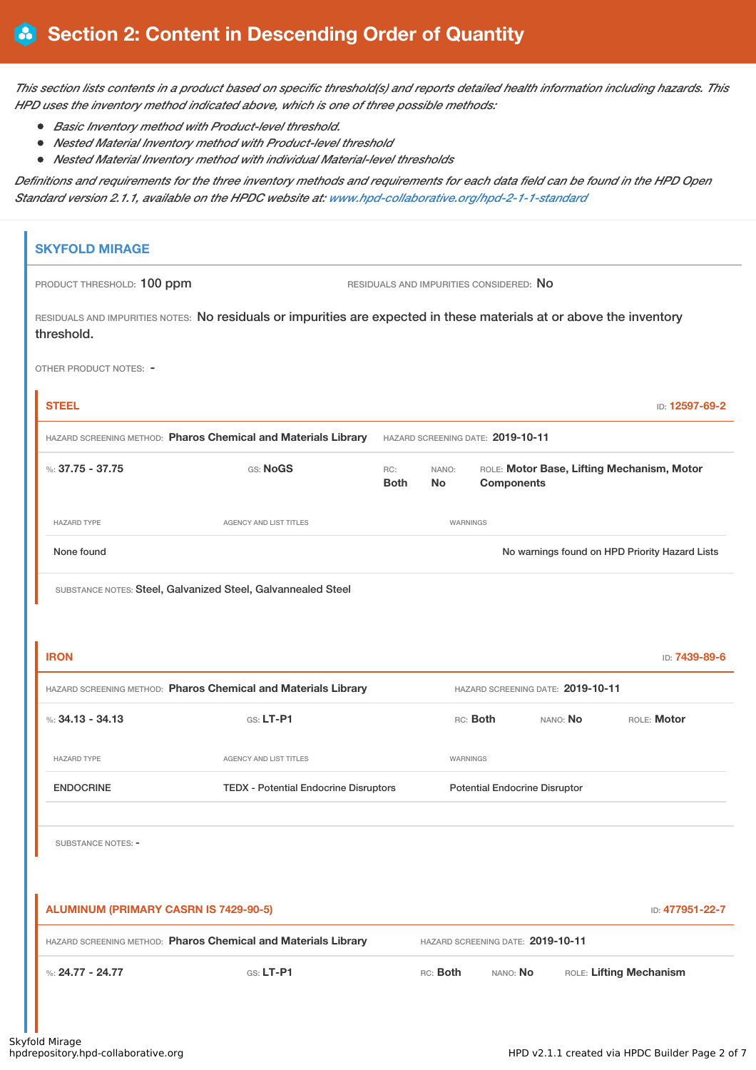This section lists contents in a product based on specific threshold(s) and reports detailed health information including hazards. This *HPD uses the inventory method indicated above, which is one of three possible methods:*

- *Basic Inventory method with Product-level threshold.*
- *Nested Material Inventory method with Product-level threshold*
- *Nested Material Inventory method with individual Material-level thresholds*

Definitions and requirements for the three inventory methods and requirements for each data field can be found in the HPD Open *Standard version 2.1.1, available on the HPDC website at: [www.hpd-collaborative.org/hpd-2-1-1-standard](https://www.hpd-collaborative.org/hpd-2-1-1-standard)*

| <b>SKYFOLD MIRAGE</b>                        |                                                                                                                      |                    |                    |                                         |                                   |                                                |
|----------------------------------------------|----------------------------------------------------------------------------------------------------------------------|--------------------|--------------------|-----------------------------------------|-----------------------------------|------------------------------------------------|
| PRODUCT THRESHOLD: 100 ppm                   |                                                                                                                      |                    |                    | RESIDUALS AND IMPURITIES CONSIDERED: NO |                                   |                                                |
| threshold.                                   | RESIDUALS AND IMPURITIES NOTES: No residuals or impurities are expected in these materials at or above the inventory |                    |                    |                                         |                                   |                                                |
| OTHER PRODUCT NOTES: -                       |                                                                                                                      |                    |                    |                                         |                                   |                                                |
| <b>STEEL</b>                                 |                                                                                                                      |                    |                    |                                         |                                   | ID: 12597-69-2                                 |
|                                              | HAZARD SCREENING METHOD: Pharos Chemical and Materials Library                                                       |                    |                    | HAZARD SCREENING DATE: 2019-10-11       |                                   |                                                |
| %: 37.75 - 37.75                             | GS: NoGS                                                                                                             | RC:<br><b>Both</b> | NANO:<br><b>No</b> | <b>Components</b>                       |                                   | ROLE: Motor Base, Lifting Mechanism, Motor     |
| <b>HAZARD TYPE</b>                           | <b>AGENCY AND LIST TITLES</b>                                                                                        |                    | WARNINGS           |                                         |                                   |                                                |
| None found                                   |                                                                                                                      |                    |                    |                                         |                                   | No warnings found on HPD Priority Hazard Lists |
| <b>IRON</b>                                  | HAZARD SCREENING METHOD: Pharos Chemical and Materials Library                                                       |                    |                    |                                         | HAZARD SCREENING DATE: 2019-10-11 | ID: 7439-89-6                                  |
| %: $34.13 - 34.13$                           | GS: LT-P1                                                                                                            |                    |                    | RC: Both                                | NANO: No                          | ROLE: Motor                                    |
| <b>HAZARD TYPE</b>                           | <b>AGENCY AND LIST TITLES</b>                                                                                        |                    | WARNINGS           |                                         |                                   |                                                |
| <b>ENDOCRINE</b>                             | <b>TEDX - Potential Endocrine Disruptors</b>                                                                         |                    |                    | <b>Potential Endocrine Disruptor</b>    |                                   |                                                |
| <b>SUBSTANCE NOTES: -</b>                    |                                                                                                                      |                    |                    |                                         |                                   |                                                |
| <b>ALUMINUM (PRIMARY CASRN IS 7429-90-5)</b> |                                                                                                                      |                    |                    |                                         |                                   | ID: 477951-22-7                                |
|                                              | HAZARD SCREENING METHOD: Pharos Chemical and Materials Library                                                       |                    |                    | HAZARD SCREENING DATE: 2019-10-11       |                                   |                                                |
| %: $24.77 - 24.77$                           | GS: LT-P1                                                                                                            |                    | RC: Both           | NANO: No                                |                                   | ROLE: Lifting Mechanism                        |
|                                              |                                                                                                                      |                    |                    |                                         |                                   |                                                |

an an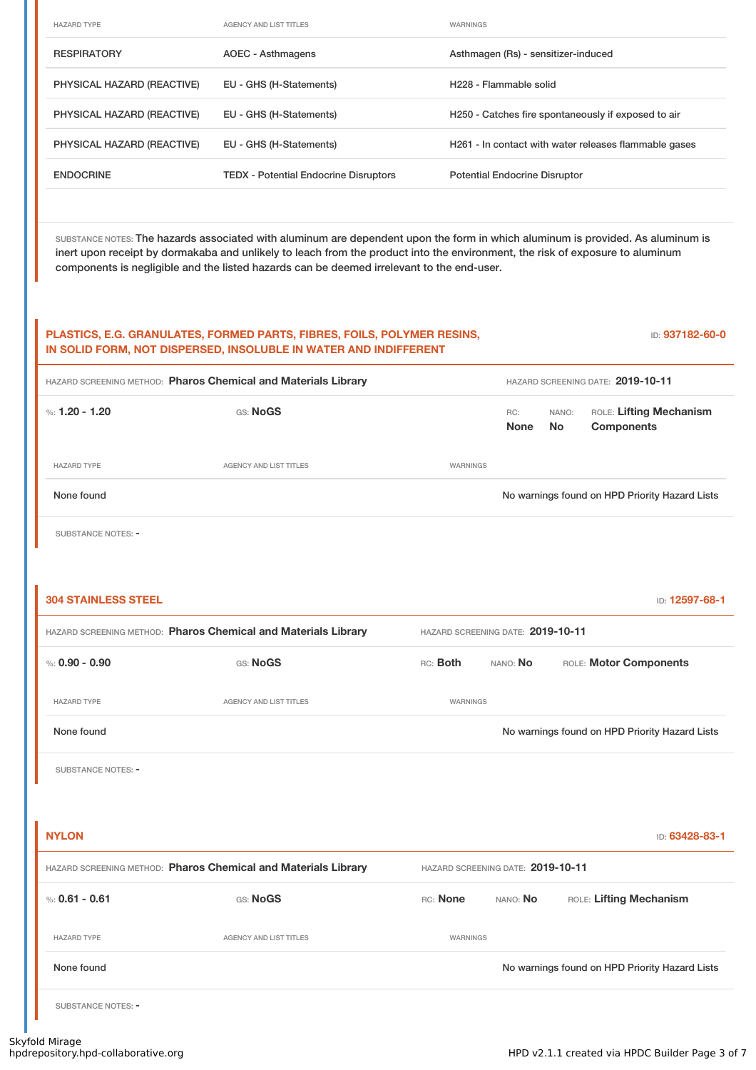| <b>HAZARD TYPE</b>         | AGENCY AND LIST TITLES                       | <b>WARNINGS</b>                                       |
|----------------------------|----------------------------------------------|-------------------------------------------------------|
| <b>RESPIRATORY</b>         | AOEC - Asthmagens                            | Asthmagen (Rs) - sensitizer-induced                   |
| PHYSICAL HAZARD (REACTIVE) | EU - GHS (H-Statements)                      | H <sub>228</sub> - Flammable solid                    |
| PHYSICAL HAZARD (REACTIVE) | EU - GHS (H-Statements)                      | H250 - Catches fire spontaneously if exposed to air   |
| PHYSICAL HAZARD (REACTIVE) | EU - GHS (H-Statements)                      | H261 - In contact with water releases flammable gases |
| <b>ENDOCRINE</b>           | <b>TEDX</b> - Potential Endocrine Disruptors | <b>Potential Endocrine Disruptor</b>                  |

SUBSTANCE NOTES: The hazards associated with aluminum are dependent upon the form in which aluminum is provided. As aluminum is inert upon receipt by dormakaba and unlikely to leach from the product into the environment, the risk of exposure to aluminum components is negligible and the listed hazards can be deemed irrelevant to the end-user.

#### **PLASTICS, E.G. GRANULATES, FORMED PARTS, FIBRES, FOILS, POLYMER RESINS, IN SOLID FORM, NOT DISPERSED, INSOLUBLE IN WATER AND INDIFFERENT**

ID: **937182-60-0**

| HAZARD SCREENING METHOD: Pharos Chemical and Materials Library |                               | HAZARD SCREENING DATE: 2019-10-11 |             |              |                                                |
|----------------------------------------------------------------|-------------------------------|-----------------------------------|-------------|--------------|------------------------------------------------|
| %: 1.20 - 1.20                                                 | GS: NoGS                      |                                   | RC:<br>None | NANO:<br>No. | ROLE: Lifting Mechanism<br><b>Components</b>   |
| <b>HAZARD TYPE</b>                                             | <b>AGENCY AND LIST TITLES</b> | <b>WARNINGS</b>                   |             |              |                                                |
| None found                                                     |                               |                                   |             |              | No warnings found on HPD Priority Hazard Lists |
|                                                                |                               |                                   |             |              |                                                |

SUBSTANCE NOTES: -

T

| <b>304 STAINLESS STEEL</b> |                                                                |                                   |                                   | ID: 12597-68-1                                 |
|----------------------------|----------------------------------------------------------------|-----------------------------------|-----------------------------------|------------------------------------------------|
|                            | HAZARD SCREENING METHOD: Pharos Chemical and Materials Library | HAZARD SCREENING DATE: 2019-10-11 |                                   |                                                |
| %: $0.90 - 0.90$           | GS: NoGS                                                       | RC: Both                          | NANO: No                          | ROLE: Motor Components                         |
| <b>HAZARD TYPE</b>         | <b>AGENCY AND LIST TITLES</b>                                  | WARNINGS                          |                                   |                                                |
| None found                 |                                                                |                                   |                                   | No warnings found on HPD Priority Hazard Lists |
| SUBSTANCE NOTES: -         |                                                                |                                   |                                   |                                                |
|                            |                                                                |                                   |                                   |                                                |
| <b>NYLON</b>               |                                                                |                                   |                                   | ID: 63428-83-1                                 |
|                            | HAZARD SCREENING METHOD: Pharos Chemical and Materials Library |                                   | HAZARD SCREENING DATE: 2019-10-11 |                                                |
| %: $0.61 - 0.61$           | GS: NoGS                                                       | RC: None                          | NANO: No                          | ROLE: Lifting Mechanism                        |
| <b>HAZARD TYPE</b>         | <b>AGENCY AND LIST TITLES</b>                                  | WARNINGS                          |                                   |                                                |
| None found                 |                                                                |                                   |                                   | No warnings found on HPD Priority Hazard Lists |
| SUBSTANCE NOTES: -         |                                                                |                                   |                                   |                                                |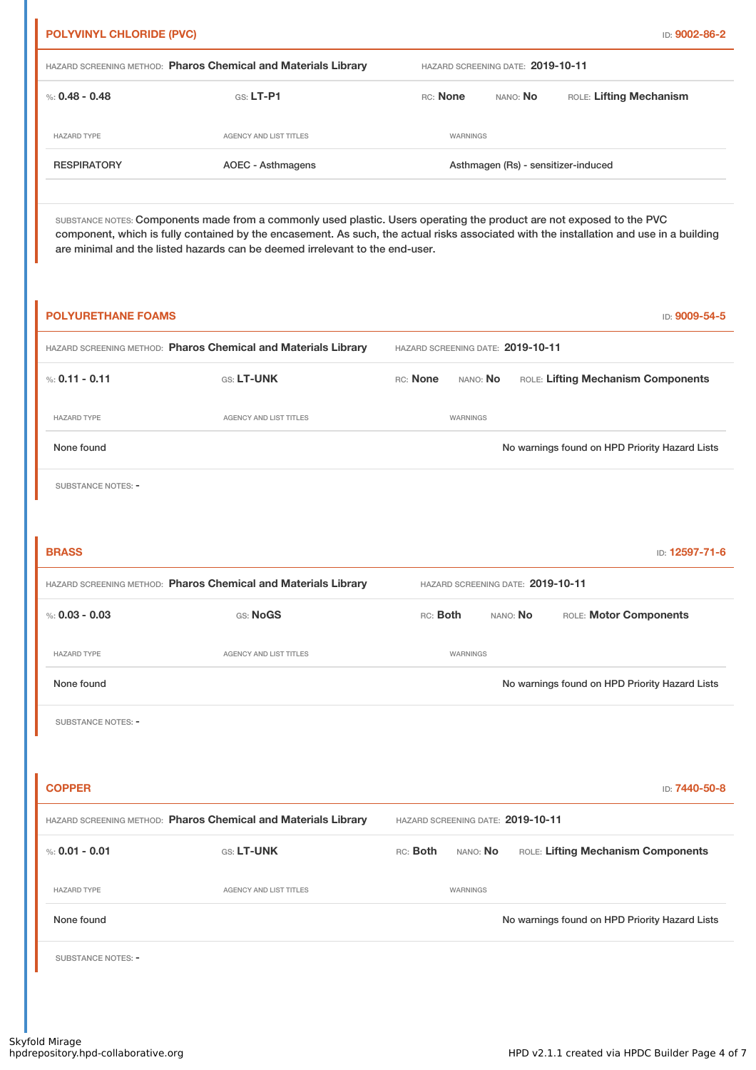| <b>RESPIRATORY</b>                                             | <b>AOEC - Asthmagens</b> | Asthmagen (Rs) - sensitizer-induced |                 |                         |  |  |
|----------------------------------------------------------------|--------------------------|-------------------------------------|-----------------|-------------------------|--|--|
| <b>HAZARD TYPE</b>                                             | AGENCY AND LIST TITLES   | WARNINGS                            |                 |                         |  |  |
| %: 0.48 - 0.48                                                 | $GS: LT-P1$              | RC: None                            | NANO: <b>No</b> | ROLE: Lifting Mechanism |  |  |
| HAZARD SCREENING METHOD: Pharos Chemical and Materials Library |                          | HAZARD SCREENING DATE: 2019-10-11   |                 |                         |  |  |

SUBSTANCE NOTES: Components made from a commonly used plastic. Users operating the product are not exposed to the PVC component, which is fully contained by the encasement. As such, the actual risks associated with the installation and use in a building are minimal and the listed hazards can be deemed irrelevant to the end-user.

| <b>POLYURETHANE FOAMS</b> |                                                                |                                   |                                   |          |                        | ID: 9009-54-5                                  |
|---------------------------|----------------------------------------------------------------|-----------------------------------|-----------------------------------|----------|------------------------|------------------------------------------------|
|                           | HAZARD SCREENING METHOD: Pharos Chemical and Materials Library | HAZARD SCREENING DATE: 2019-10-11 |                                   |          |                        |                                                |
| %: $0.11 - 0.11$          | GS: LT-UNK                                                     | RC: None                          | NANO: No                          |          |                        | ROLE: Lifting Mechanism Components             |
| <b>HAZARD TYPE</b>        | AGENCY AND LIST TITLES                                         |                                   | WARNINGS                          |          |                        |                                                |
| None found                |                                                                |                                   |                                   |          |                        | No warnings found on HPD Priority Hazard Lists |
| SUBSTANCE NOTES: -        |                                                                |                                   |                                   |          |                        |                                                |
|                           |                                                                |                                   |                                   |          |                        |                                                |
| <b>BRASS</b>              |                                                                |                                   |                                   |          |                        | ID: 12597-71-6                                 |
|                           | HAZARD SCREENING METHOD: Pharos Chemical and Materials Library |                                   | HAZARD SCREENING DATE: 2019-10-11 |          |                        |                                                |
| %: $0.03 - 0.03$          | GS: NoGS                                                       | RC: Both                          |                                   | NANO: No | ROLE: Motor Components |                                                |
| <b>HAZARD TYPE</b>        | AGENCY AND LIST TITLES                                         |                                   | WARNINGS                          |          |                        |                                                |
| None found                |                                                                |                                   |                                   |          |                        | No warnings found on HPD Priority Hazard Lists |
| <b>SUBSTANCE NOTES: -</b> |                                                                |                                   |                                   |          |                        |                                                |
|                           |                                                                |                                   |                                   |          |                        |                                                |
| <b>COPPER</b>             |                                                                |                                   |                                   |          |                        | ID: 7440-50-8                                  |
|                           | HAZARD SCREENING METHOD: Pharos Chemical and Materials Library | HAZARD SCREENING DATE: 2019-10-11 |                                   |          |                        |                                                |
| %: $0.01 - 0.01$          | GS: LT-UNK                                                     | RC: Both                          | NANO: No                          |          |                        | ROLE: Lifting Mechanism Components             |
| <b>HAZARD TYPE</b>        | AGENCY AND LIST TITLES                                         |                                   | WARNINGS                          |          |                        |                                                |
| None found                |                                                                |                                   |                                   |          |                        | No warnings found on HPD Priority Hazard Lists |
| SUBSTANCE NOTES: -        |                                                                |                                   |                                   |          |                        |                                                |
|                           |                                                                |                                   |                                   |          |                        |                                                |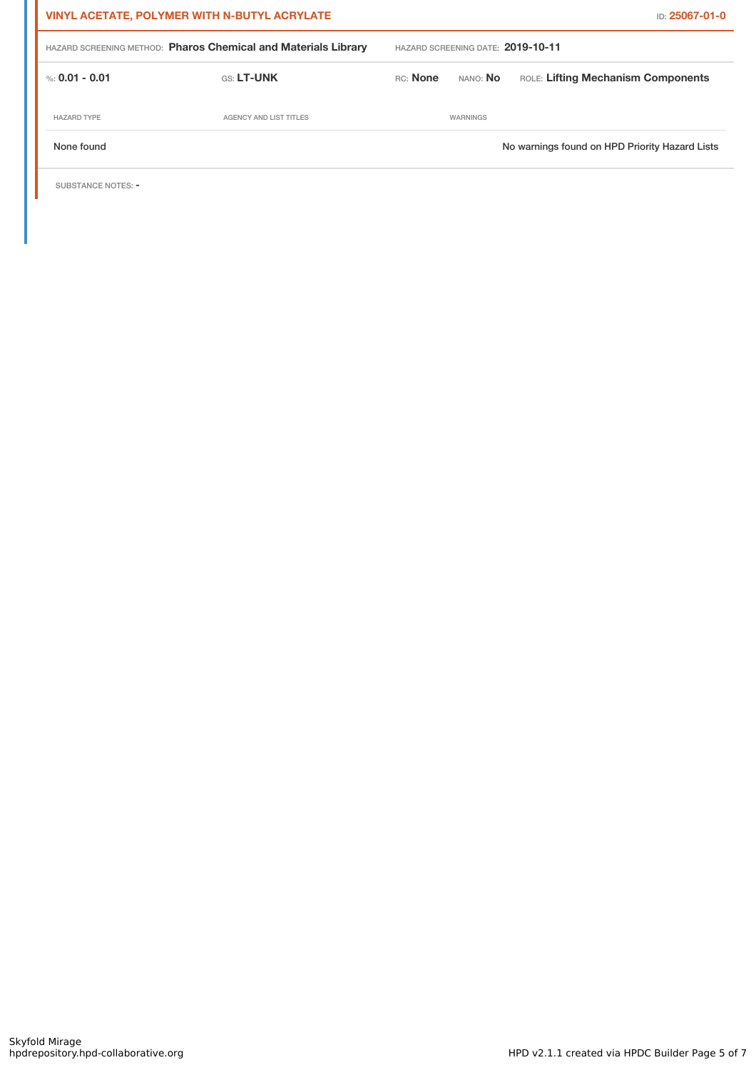| <b>VINYL ACETATE, POLYMER WITH N-BUTYL ACRYLATE</b>            |                        |                                   | <b>ID: 25067-01-0</b> |                                                |  |
|----------------------------------------------------------------|------------------------|-----------------------------------|-----------------------|------------------------------------------------|--|
| HAZARD SCREENING METHOD: Pharos Chemical and Materials Library |                        | HAZARD SCREENING DATE: 2019-10-11 |                       |                                                |  |
| %: 0.01 - 0.01                                                 | <b>GS: LT-UNK</b>      | RC: None                          | NANO: <b>No</b>       | ROLE: Lifting Mechanism Components             |  |
| <b>HAZARD TYPE</b>                                             | AGENCY AND LIST TITLES |                                   | WARNINGS              |                                                |  |
| None found                                                     |                        |                                   |                       | No warnings found on HPD Priority Hazard Lists |  |

SUBSTANCE NOTES: -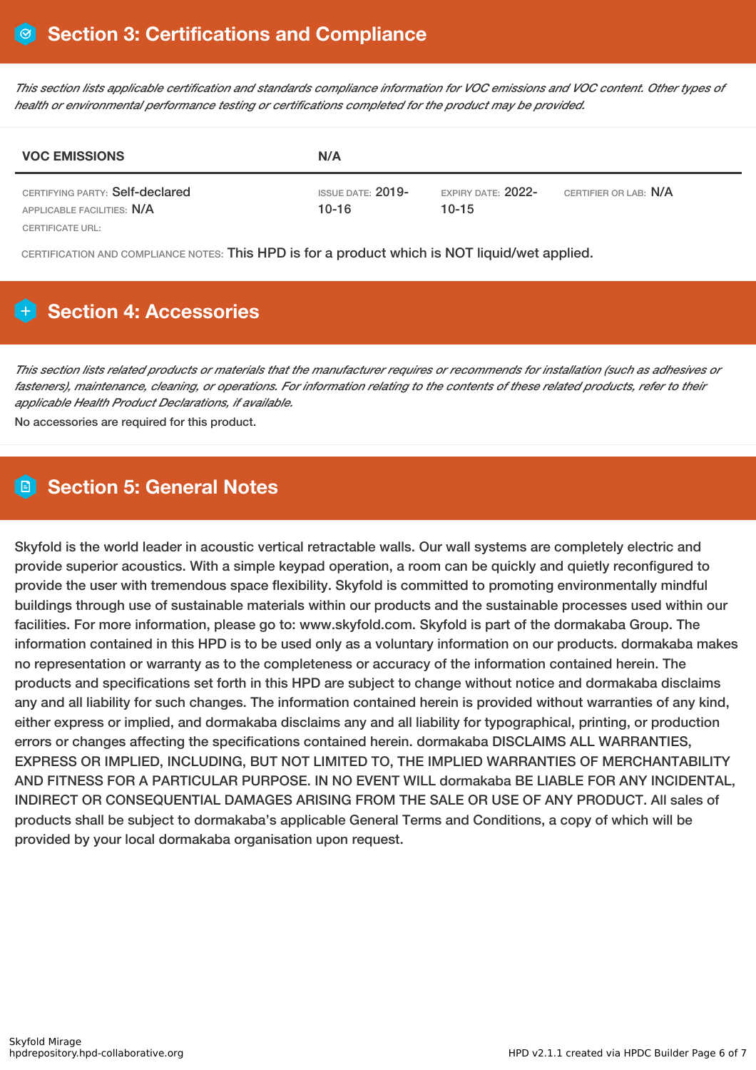This section lists applicable certification and standards compliance information for VOC emissions and VOC content. Other types of *health or environmental performance testing or certifications completed for the product may be provided.*

| <b>VOC EMISSIONS</b>                                          | N/A                                   |                                    |                       |  |
|---------------------------------------------------------------|---------------------------------------|------------------------------------|-----------------------|--|
| CERTIFYING PARTY: Self-declared<br>APPLICABLE FACILITIES: N/A | <b>ISSUE DATE: 2019-</b><br>$10 - 16$ | EXPIRY DATE: $2022$ -<br>$10 - 15$ | CERTIFIER OR LAB: N/A |  |
| CERTIFICATE URL:                                              |                                       |                                    |                       |  |

CERTIFICATION AND COMPLIANCE NOTES: This HPD is for a product which is NOT liquid/wet applied.

# **Section 4: Accessories**

This section lists related products or materials that the manufacturer requires or recommends for installation (such as adhesives or fasteners), maintenance, cleaning, or operations. For information relating to the contents of these related products, refer to their *applicable Health Product Declarations, if available.*

No accessories are required for this product.

### **Section 5: General Notes**

Skyfold is the world leader in acoustic vertical retractable walls. Our wall systems are completely electric and provide superior acoustics. With a simple keypad operation, a room can be quickly and quietly reconfigured to provide the user with tremendous space flexibility. Skyfold is committed to promoting environmentally mindful buildings through use of sustainable materials within our products and the sustainable processes used within our facilities. For more information, please go to: www.skyfold.com. Skyfold is part of the dormakaba Group. The information contained in this HPD is to be used only as a voluntary information on our products. dormakaba makes no representation or warranty as to the completeness or accuracy of the information contained herein. The products and specifications set forth in this HPD are subject to change without notice and dormakaba disclaims any and all liability for such changes. The information contained herein is provided without warranties of any kind, either express or implied, and dormakaba disclaims any and all liability for typographical, printing, or production errors or changes affecting the specifications contained herein. dormakaba DISCLAIMS ALL WARRANTIES, EXPRESS OR IMPLIED, INCLUDING, BUT NOT LIMITED TO, THE IMPLIED WARRANTIES OF MERCHANTABILITY AND FITNESS FOR A PARTICULAR PURPOSE. IN NO EVENT WILL dormakaba BE LIABLE FOR ANY INCIDENTAL, INDIRECT OR CONSEQUENTIAL DAMAGES ARISING FROM THE SALE OR USE OF ANY PRODUCT. All sales of products shall be subject to dormakaba's applicable General Terms and Conditions, a copy of which will be provided by your local dormakaba organisation upon request.